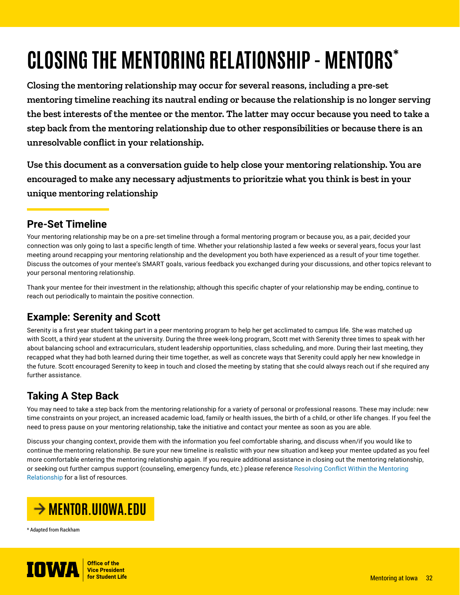# **CLOSING THE MENTORING RELATIONSHIP - MENTORS\***

**Closing the mentoring relationship may occur for several reasons, including a pre-set mentoring timeline reaching its nautral ending or because the relationship is no longer serving the best interests of the mentee or the mentor. The latter may occur because you need to take a step back from the mentoring relationship due to other responsibilities or because there is an unresolvable conflict in your relationship.**

**Use this document as a conversation guide to help close your mentoring relationship. You are encouraged to make any necessary adjustments to prioritzie what you think is best in your unique mentoring relationship**

#### **Pre-Set Timeline**

Your mentoring relationship may be on a pre-set timeline through a formal mentoring program or because you, as a pair, decided your connection was only going to last a specific length of time. Whether your relationship lasted a few weeks or several years, focus your last meeting around recapping your mentoring relationship and the development you both have experienced as a result of your time together. Discuss the outcomes of your mentee's SMART goals, various feedback you exchanged during your discussions, and other topics relevant to your personal mentoring relationship.

Thank your mentee for their investment in the relationship; although this specific chapter of your relationship may be ending, continue to reach out periodically to maintain the positive connection.

## **Example: Serenity and Scott**

Serenity is a first year student taking part in a peer mentoring program to help her get acclimated to campus life. She was matched up with Scott, a third year student at the university. During the three week-long program, Scott met with Serenity three times to speak with her about balancing school and extracurriculars, student leadership opportunities, class scheduling, and more. During their last meeting, they recapped what they had both learned during their time together, as well as concrete ways that Serenity could apply her new knowledge in the future. Scott encouraged Serenity to keep in touch and closed the meeting by stating that she could always reach out if she required any further assistance.

# **Taking A Step Back**

You may need to take a step back from the mentoring relationship for a variety of personal or professional reasons. These may include: new time constraints on your project, an increased academic load, family or health issues, the birth of a child, or other life changes. If you feel the need to press pause on your mentoring relationship, take the initiative and contact your mentee as soon as you are able.

Discuss your changing context, provide them with the information you feel comfortable sharing, and discuss when/if you would like to continue the mentoring relationship. Be sure your new timeline is realistic with your new situation and keep your mentee updated as you feel more comfortable entering the mentoring relationship again. If you require additional assistance in closing out the mentoring relationship, or seeking out further campus support (counseling, emergency funds, etc.) please reference [Resolving Conflict Within the Mentoring](https://mentor.uiowa.edu/sites/mentor.uiowa.edu/files/2021-11/Resolving%20Conflict%20Within%20the%20Mentoring%20Relationship.pdf)  [Relationship](https://mentor.uiowa.edu/sites/mentor.uiowa.edu/files/2021-11/Resolving%20Conflict%20Within%20the%20Mentoring%20Relationship.pdf) for a list of resources.



\* Adapted from Rackham